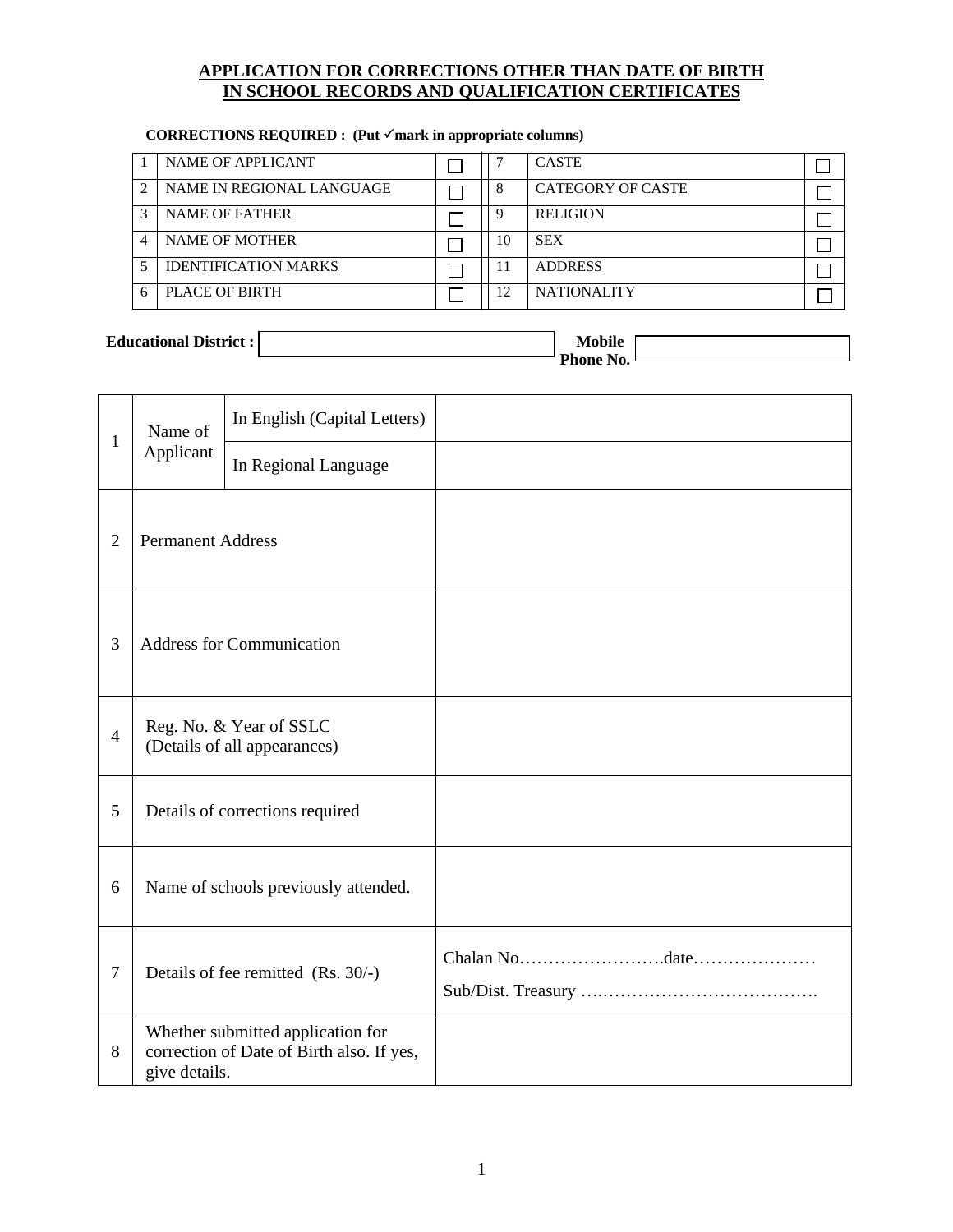### **APPLICATION FOR CORRECTIONS OTHER THAN DATE OF BIRTH IN SCHOOL RECORDS AND QUALIFICATION CERTIFICATES**

|   | NAME OF APPLICANT           |    | <b>CASTE</b>             |  |
|---|-----------------------------|----|--------------------------|--|
| ി | NAME IN REGIONAL LANGUAGE   |    | <b>CATEGORY OF CASTE</b> |  |
|   | <b>NAME OF FATHER</b>       |    | <b>RELIGION</b>          |  |
|   | <b>NAME OF MOTHER</b>       | 10 | <b>SEX</b>               |  |
|   | <b>IDENTIFICATION MARKS</b> | 11 | <b>ADDRESS</b>           |  |
|   | PLACE OF BIRTH              | 12 | <b>NATIONALITY</b>       |  |

## <code>CORRECTIONS REQUIRED : (Put  $\checkmark$  mark in appropriate columns)</code>

## **Educational District :** Mobile **Mobile Mobile**

 **Phone No.** 

| $\mathbf{1}$   | Name of<br>Applicant             | In English (Capital Letters)                                                   |  |
|----------------|----------------------------------|--------------------------------------------------------------------------------|--|
|                |                                  | In Regional Language                                                           |  |
| $\overline{2}$ | <b>Permanent Address</b>         |                                                                                |  |
| 3              | <b>Address for Communication</b> |                                                                                |  |
| $\overline{4}$ |                                  | Reg. No. & Year of SSLC<br>(Details of all appearances)                        |  |
| 5              |                                  | Details of corrections required                                                |  |
| 6              |                                  | Name of schools previously attended.                                           |  |
| $\tau$         |                                  | Details of fee remitted (Rs. 30/-)                                             |  |
| 8              | give details.                    | Whether submitted application for<br>correction of Date of Birth also. If yes, |  |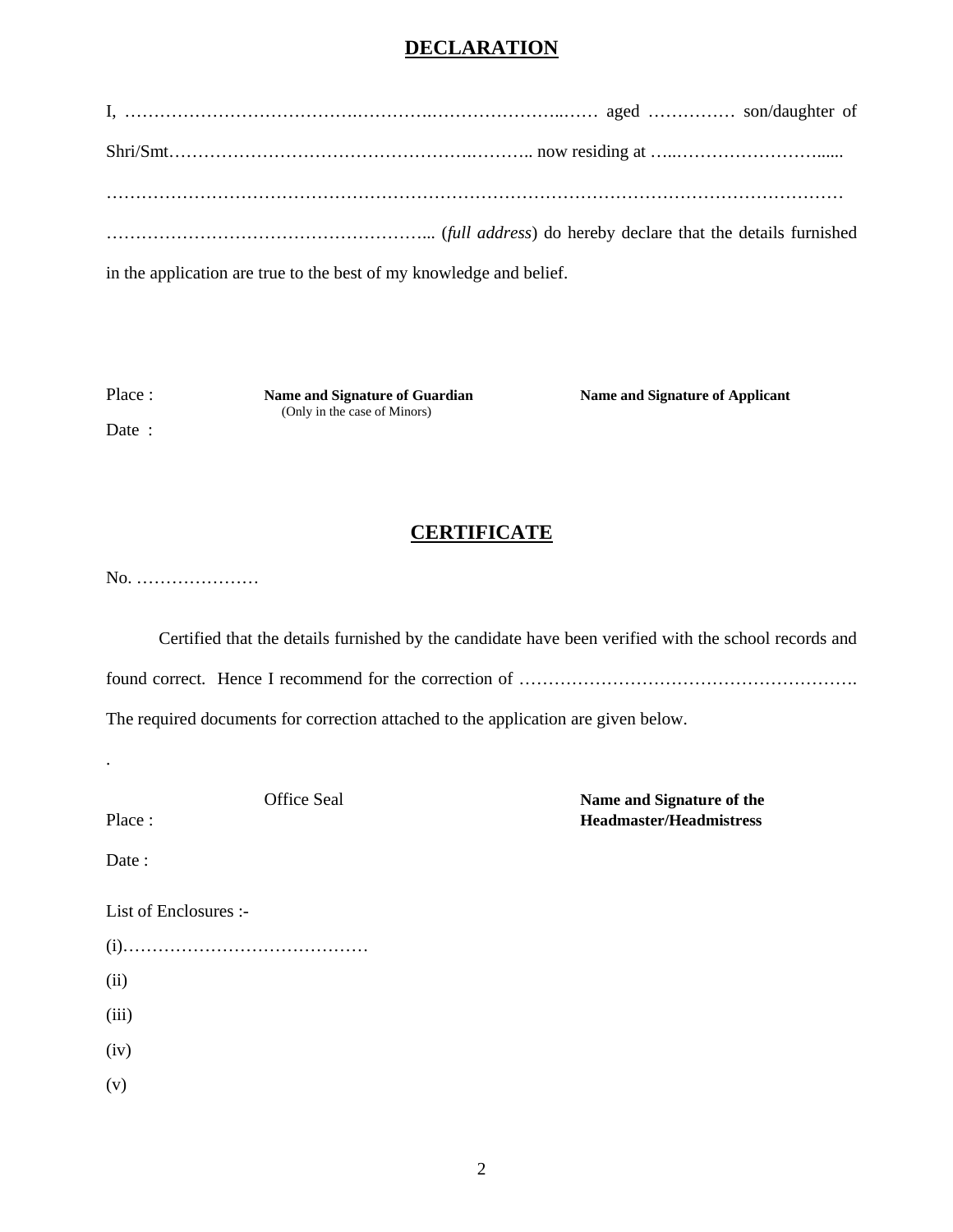# **DECLARATION**

| in the application are true to the best of my knowledge and belief. |
|---------------------------------------------------------------------|

Date :

(Only in the case of Minors)

Place : **Name and Signature of Guardian Name and Signature of Applicant** 

## **CERTIFICATE**

No. …………………

Certified that the details furnished by the candidate have been verified with the school records and found correct. Hence I recommend for the correction of ………………………………………………….

The required documents for correction attached to the application are given below.

**Office Seal Market Seal Market Seal Market Seal Market Seal Market Seal Market Seal Market Seal Market Seal Market Seal Market Seal Market Seal Market Seal Market Seal Market Seal Market Seal Market Seal Market Seal Marke** Place : **Headmaster/Headmistress**

.

Date:

List of Enclosures :-

(i)…………………………………… (ii) (iii) (iv) (v)